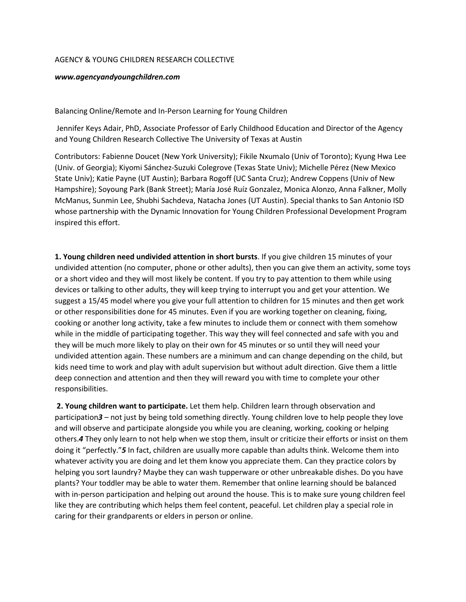## AGENCY & YOUNG CHILDREN RESEARCH COLLECTIVE

## *www.agencyandyoungchildren.com*

Balancing Online/Remote and In-Person Learning for Young Children

Jennifer Keys Adair, PhD, Associate Professor of Early Childhood Education and Director of the Agency and Young Children Research Collective The University of Texas at Austin

Contributors: Fabienne Doucet (New York University); Fikile Nxumalo (Univ of Toronto); Kyung Hwa Lee (Univ. of Georgia); Kiyomi Sánchez-Suzuki Colegrove (Texas State Univ); Michelle Pérez (New Mexico State Univ); Katie Payne (UT Austin); Barbara Rogoff (UC Santa Cruz); Andrew Coppens (Univ of New Hampshire); Soyoung Park (Bank Street); María José Ruíz Gonzalez, Monica Alonzo, Anna Falkner, Molly McManus, Sunmin Lee, Shubhi Sachdeva, Natacha Jones (UT Austin). Special thanks to San Antonio ISD whose partnership with the Dynamic Innovation for Young Children Professional Development Program inspired this effort.

**1. Young children need undivided attention in short bursts**. If you give children 15 minutes of your undivided attention (no computer, phone or other adults), then you can give them an activity, some toys or a short video and they will most likely be content. If you try to pay attention to them while using devices or talking to other adults, they will keep trying to interrupt you and get your attention. We suggest a 15/45 model where you give your full attention to children for 15 minutes and then get work or other responsibilities done for 45 minutes. Even if you are working together on cleaning, fixing, cooking or another long activity, take a few minutes to include them or connect with them somehow while in the middle of participating together. This way they will feel connected and safe with you and they will be much more likely to play on their own for 45 minutes or so until they will need your undivided attention again. These numbers are a minimum and can change depending on the child, but kids need time to work and play with adult supervision but without adult direction. Give them a little deep connection and attention and then they will reward you with time to complete your other responsibilities.

**2. Young children want to participate.** Let them help. Children learn through observation and participation*3* – not just by being told something directly. Young children love to help people they love and will observe and participate alongside you while you are cleaning, working, cooking or helping others.*4* They only learn to not help when we stop them, insult or criticize their efforts or insist on them doing it "perfectly."*5* In fact, children are usually more capable than adults think. Welcome them into whatever activity you are doing and let them know you appreciate them. Can they practice colors by helping you sort laundry? Maybe they can wash tupperware or other unbreakable dishes. Do you have plants? Your toddler may be able to water them. Remember that online learning should be balanced with in-person participation and helping out around the house. This is to make sure young children feel like they are contributing which helps them feel content, peaceful. Let children play a special role in caring for their grandparents or elders in person or online.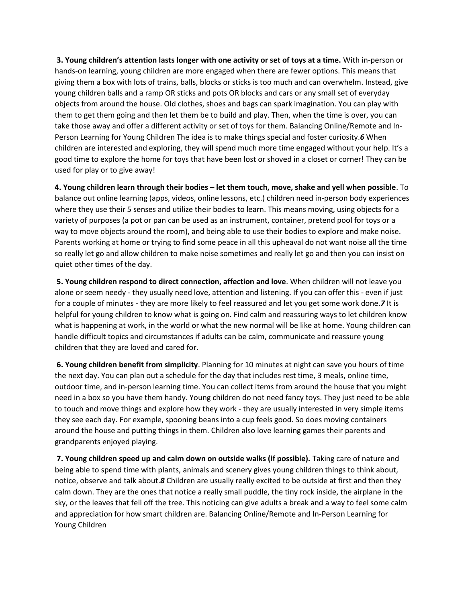**3. Young children's attention lasts longer with one activity or set of toys at a time.** With in-person or hands-on learning, young children are more engaged when there are fewer options. This means that giving them a box with lots of trains, balls, blocks or sticks is too much and can overwhelm. Instead, give young children balls and a ramp OR sticks and pots OR blocks and cars or any small set of everyday objects from around the house. Old clothes, shoes and bags can spark imagination. You can play with them to get them going and then let them be to build and play. Then, when the time is over, you can take those away and offer a different activity or set of toys for them. Balancing Online/Remote and In-Person Learning for Young Children The idea is to make things special and foster curiosity.*6* When children are interested and exploring, they will spend much more time engaged without your help. It's a good time to explore the home for toys that have been lost or shoved in a closet or corner! They can be used for play or to give away!

**4. Young children learn through their bodies – let them touch, move, shake and yell when possible**. To balance out online learning (apps, videos, online lessons, etc.) children need in-person body experiences where they use their 5 senses and utilize their bodies to learn. This means moving, using objects for a variety of purposes (a pot or pan can be used as an instrument, container, pretend pool for toys or a way to move objects around the room), and being able to use their bodies to explore and make noise. Parents working at home or trying to find some peace in all this upheaval do not want noise all the time so really let go and allow children to make noise sometimes and really let go and then you can insist on quiet other times of the day.

**5. Young children respond to direct connection, affection and love**. When children will not leave you alone or seem needy - they usually need love, attention and listening. If you can offer this - even if just for a couple of minutes - they are more likely to feel reassured and let you get some work done.*7* It is helpful for young children to know what is going on. Find calm and reassuring ways to let children know what is happening at work, in the world or what the new normal will be like at home. Young children can handle difficult topics and circumstances if adults can be calm, communicate and reassure young children that they are loved and cared for.

**6. Young children benefit from simplicity**. Planning for 10 minutes at night can save you hours of time the next day. You can plan out a schedule for the day that includes rest time, 3 meals, online time, outdoor time, and in-person learning time. You can collect items from around the house that you might need in a box so you have them handy. Young children do not need fancy toys. They just need to be able to touch and move things and explore how they work - they are usually interested in very simple items they see each day. For example, spooning beans into a cup feels good. So does moving containers around the house and putting things in them. Children also love learning games their parents and grandparents enjoyed playing.

**7. Young children speed up and calm down on outside walks (if possible).** Taking care of nature and being able to spend time with plants, animals and scenery gives young children things to think about, notice, observe and talk about.*8* Children are usually really excited to be outside at first and then they calm down. They are the ones that notice a really small puddle, the tiny rock inside, the airplane in the sky, or the leaves that fell off the tree. This noticing can give adults a break and a way to feel some calm and appreciation for how smart children are. Balancing Online/Remote and In-Person Learning for Young Children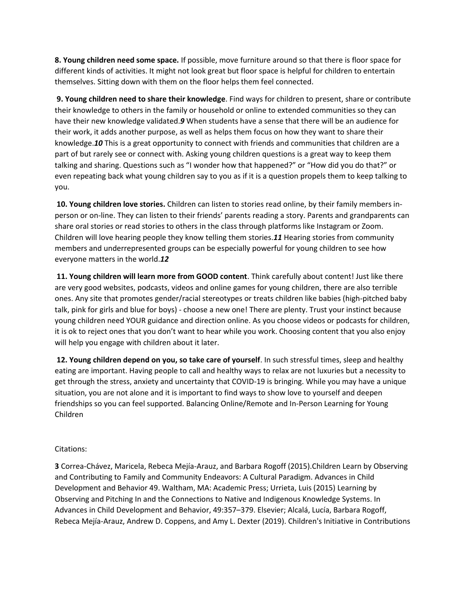**8. Young children need some space.** If possible, move furniture around so that there is floor space for different kinds of activities. It might not look great but floor space is helpful for children to entertain themselves. Sitting down with them on the floor helps them feel connected.

**9. Young children need to share their knowledge**. Find ways for children to present, share or contribute their knowledge to others in the family or household or online to extended communities so they can have their new knowledge validated.*9* When students have a sense that there will be an audience for their work, it adds another purpose, as well as helps them focus on how they want to share their knowledge.*10* This is a great opportunity to connect with friends and communities that children are a part of but rarely see or connect with. Asking young children questions is a great way to keep them talking and sharing. Questions such as "I wonder how that happened?" or "How did you do that?" or even repeating back what young children say to you as if it is a question propels them to keep talking to you.

**10. Young children love stories.** Children can listen to stories read online, by their family members inperson or on-line. They can listen to their friends' parents reading a story. Parents and grandparents can share oral stories or read stories to others in the class through platforms like Instagram or Zoom. Children will love hearing people they know telling them stories.*11* Hearing stories from community members and underrepresented groups can be especially powerful for young children to see how everyone matters in the world.*12*

**11. Young children will learn more from GOOD content**. Think carefully about content! Just like there are very good websites, podcasts, videos and online games for young children, there are also terrible ones. Any site that promotes gender/racial stereotypes or treats children like babies (high-pitched baby talk, pink for girls and blue for boys) - choose a new one! There are plenty. Trust your instinct because young children need YOUR guidance and direction online. As you choose videos or podcasts for children, it is ok to reject ones that you don't want to hear while you work. Choosing content that you also enjoy will help you engage with children about it later.

**12. Young children depend on you, so take care of yourself**. In such stressful times, sleep and healthy eating are important. Having people to call and healthy ways to relax are not luxuries but a necessity to get through the stress, anxiety and uncertainty that COVID-19 is bringing. While you may have a unique situation, you are not alone and it is important to find ways to show love to yourself and deepen friendships so you can feel supported. Balancing Online/Remote and In-Person Learning for Young Children

## Citations:

**3** Correa-Chávez, Maricela, Rebeca Mejía-Arauz, and Barbara Rogoff (2015).Children Learn by Observing and Contributing to Family and Community Endeavors: A Cultural Paradigm. Advances in Child Development and Behavior 49. Waltham, MA: Academic Press; Urrieta, Luis (2015) Learning by Observing and Pitching In and the Connections to Native and Indigenous Knowledge Systems. In Advances in Child Development and Behavior, 49:357–379. Elsevier; Alcalá, Lucía, Barbara Rogoff, Rebeca Mejía-Arauz, Andrew D. Coppens, and Amy L. Dexter (2019). Children's Initiative in Contributions